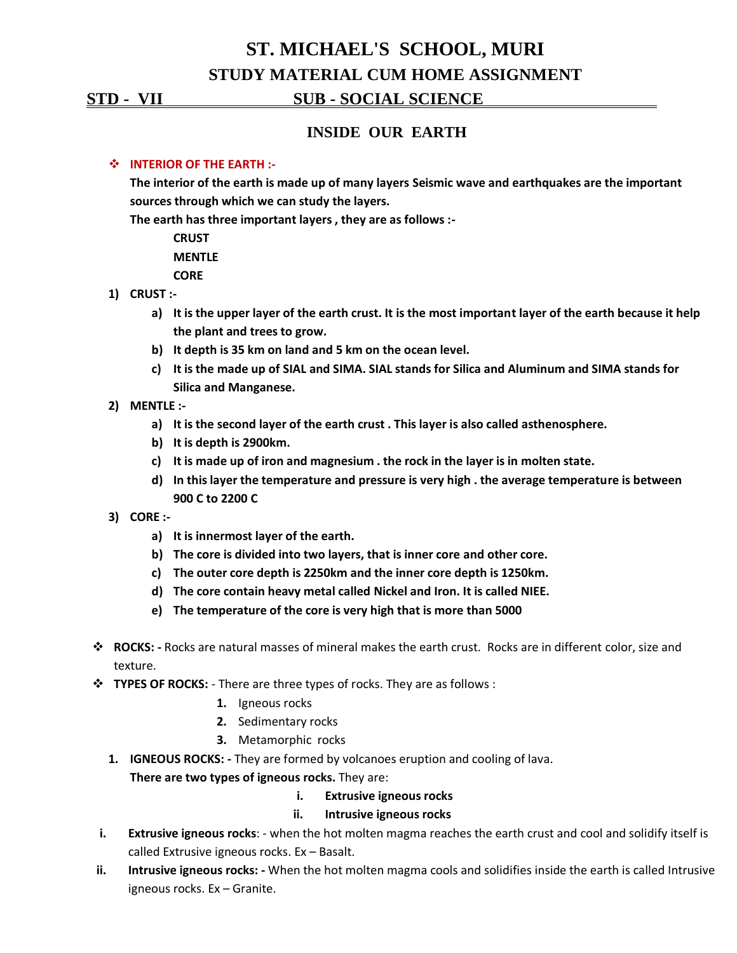# **ST. MICHAEL'S SCHOOL, MURI STUDY MATERIAL CUM HOME ASSIGNMENT**

#### **STD - VII SUB - SOCIAL SCIENCE .**

## **INSIDE OUR EARTH**

#### **INTERIOR OF THE EARTH :-**

**The interior of the earth is made up of many layers Seismic wave and earthquakes are the important sources through which we can study the layers.**

**The earth has three important layers , they are as follows :-**

**CRUST MENTLE**

**CORE**

- **1) CRUST :**
	- **a) It is the upper layer of the earth crust. It is the most important layer of the earth because it help the plant and trees to grow.**
	- **b) It depth is 35 km on land and 5 km on the ocean level.**
	- **c) It is the made up of SIAL and SIMA. SIAL stands for Silica and Aluminum and SIMA stands for Silica and Manganese.**
- **2) MENTLE :**
	- **a) It is the second layer of the earth crust . This layer is also called asthenosphere.**
	- **b) It is depth is 2900km.**
	- **c) It is made up of iron and magnesium . the rock in the layer is in molten state.**
	- **d) In this layer the temperature and pressure is very high . the average temperature is between 900 C to 2200 C**
- **3) CORE :**
	- **a) It is innermost layer of the earth.**
	- **b) The core is divided into two layers, that is inner core and other core.**
	- **c) The outer core depth is 2250km and the inner core depth is 1250km.**
	- **d) The core contain heavy metal called Nickel and Iron. It is called NIEE.**
	- **e) The temperature of the core is very high that is more than 5000**
- **ROCKS: -** Rocks are natural masses of mineral makes the earth crust. Rocks are in different color, size and texture.
- **TYPES OF ROCKS:** There are three types of rocks. They are as follows:
	- **1.** Igneous rocks
	- **2.** Sedimentary rocks
	- **3.** Metamorphic rocks
	- **1. IGNEOUS ROCKS: -** They are formed by volcanoes eruption and cooling of lava. **There are two types of igneous rocks.** They are:
		- **i. Extrusive igneous rocks**

#### **ii. Intrusive igneous rocks**

- **i. Extrusive igneous rocks**: when the hot molten magma reaches the earth crust and cool and solidify itself is called Extrusive igneous rocks. Ex – Basalt.
- **ii. Intrusive igneous rocks: -** When the hot molten magma cools and solidifies inside the earth is called Intrusive igneous rocks. Ex – Granite.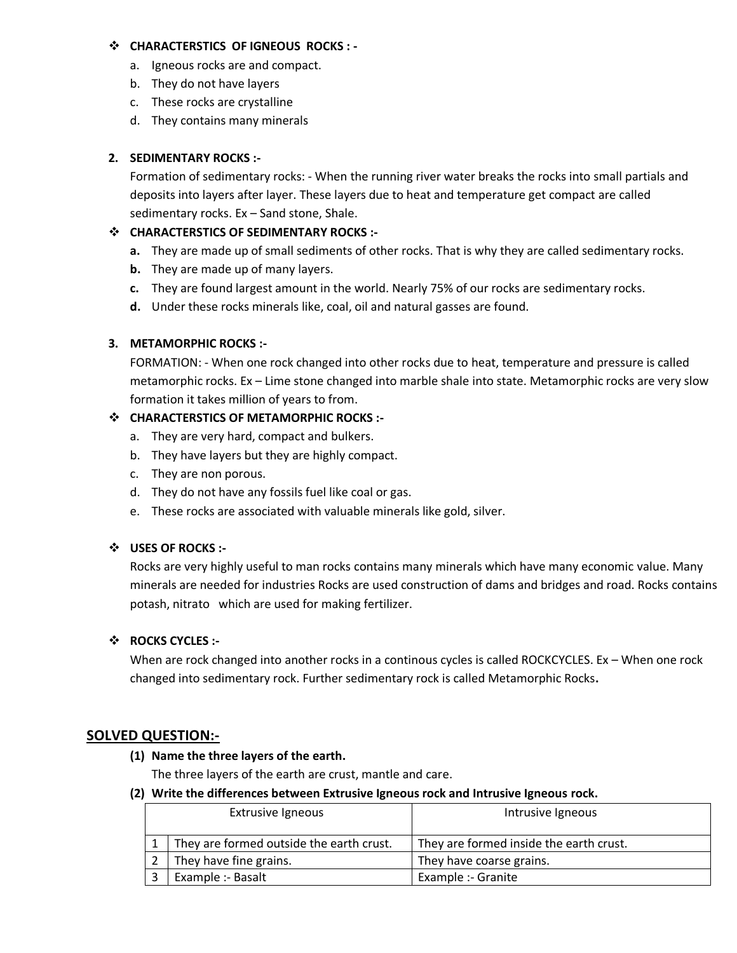#### **CHARACTERSTICS OF IGNEOUS ROCKS : -**

- a. Igneous rocks are and compact.
- b. They do not have layers
- c. These rocks are crystalline
- d. They contains many minerals

## **2. SEDIMENTARY ROCKS :-**

Formation of sedimentary rocks: - When the running river water breaks the rocks into small partials and deposits into layers after layer. These layers due to heat and temperature get compact are called sedimentary rocks. Ex – Sand stone, Shale.

#### **CHARACTERSTICS OF SEDIMENTARY ROCKS :-**

- **a.** They are made up of small sediments of other rocks. That is why they are called sedimentary rocks.
- **b.** They are made up of many layers.
- **c.** They are found largest amount in the world. Nearly 75% of our rocks are sedimentary rocks.
- **d.** Under these rocks minerals like, coal, oil and natural gasses are found.

## **3. METAMORPHIC ROCKS :-**

FORMATION: - When one rock changed into other rocks due to heat, temperature and pressure is called metamorphic rocks. Ex – Lime stone changed into marble shale into state. Metamorphic rocks are very slow formation it takes million of years to from.

## **CHARACTERSTICS OF METAMORPHIC ROCKS :-**

- a. They are very hard, compact and bulkers.
- b. They have layers but they are highly compact.
- c. They are non porous.
- d. They do not have any fossils fuel like coal or gas.
- e. These rocks are associated with valuable minerals like gold, silver.

#### **USES OF ROCKS :-**

Rocks are very highly useful to man rocks contains many minerals which have many economic value. Many minerals are needed for industries Rocks are used construction of dams and bridges and road. Rocks contains potash, nitrato which are used for making fertilizer.

#### $\div$  ROCKS CYCLES :-

When are rock changed into another rocks in a continous cycles is called ROCKCYCLES. Ex - When one rock changed into sedimentary rock. Further sedimentary rock is called Metamorphic Rocks**.**

# **SOLVED QUESTION:-**

#### **(1) Name the three layers of the earth.**

The three layers of the earth are crust, mantle and care.

#### **(2) Write the differences between Extrusive Igneous rock and Intrusive Igneous rock.**

| <b>Extrusive Igneous</b>                 | Intrusive Igneous                       |
|------------------------------------------|-----------------------------------------|
| They are formed outside the earth crust. | They are formed inside the earth crust. |
| They have fine grains.                   | They have coarse grains.                |
| Example :- Basalt                        | Example :- Granite                      |